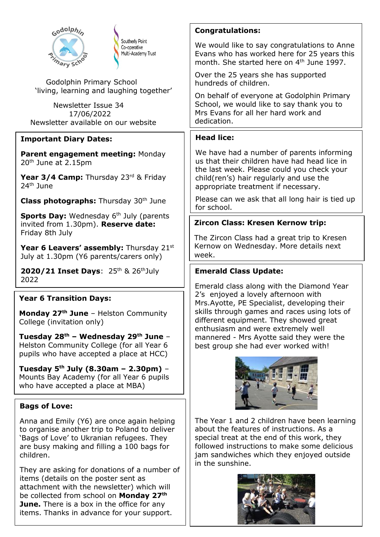| Godolphin                                                                                                                                                                              | <b>Congratulations:</b>                                                                                                                                                                 |
|----------------------------------------------------------------------------------------------------------------------------------------------------------------------------------------|-----------------------------------------------------------------------------------------------------------------------------------------------------------------------------------------|
| Southerly Point<br>Co-operative<br>Multi-Academy Trust<br>mary scho                                                                                                                    | We would like to say congratulations to Anne<br>Evans who has worked here for 25 years this<br>month. She started here on 4 <sup>th</sup> June 1997.                                    |
| Godolphin Primary School                                                                                                                                                               | Over the 25 years she has supported<br>hundreds of children.                                                                                                                            |
| 'living, learning and laughing together'                                                                                                                                               | On behalf of everyone at Godolphin Primary                                                                                                                                              |
| Newsletter Issue 34<br>17/06/2022                                                                                                                                                      | School, we would like to say thank you to<br>Mrs Evans for all her hard work and                                                                                                        |
| Newsletter available on our website                                                                                                                                                    | dedication.                                                                                                                                                                             |
| <b>Important Diary Dates:</b>                                                                                                                                                          | <b>Head lice:</b>                                                                                                                                                                       |
| Parent engagement meeting: Monday<br>20 <sup>th</sup> June at 2.15pm                                                                                                                   | We have had a number of parents informing<br>us that their children have had head lice in<br>the last week. Please could you check your                                                 |
| Year 3/4 Camp: Thursday 23rd & Friday<br>24 <sup>th</sup> June                                                                                                                         | child(ren's) hair regularly and use the<br>appropriate treatment if necessary.                                                                                                          |
| <b>Class photographs:</b> Thursday 30 <sup>th</sup> June                                                                                                                               | Please can we ask that all long hair is tied up<br>for school.                                                                                                                          |
| <b>Sports Day:</b> Wednesday 6 <sup>th</sup> July (parents<br>invited from 1.30pm). Reserve date:                                                                                      | Zircon Class: Kresen Kernow trip:                                                                                                                                                       |
| Friday 8th July                                                                                                                                                                        | The Zircon Class had a great trip to Kresen                                                                                                                                             |
| <b>Year 6 Leavers' assembly:</b> Thursday 21st<br>July at 1.30pm (Y6 parents/carers only)                                                                                              | Kernow on Wednesday. More details next<br>week.                                                                                                                                         |
| 2020/21 Inset Days: 25th & 26th July<br>2022                                                                                                                                           | <b>Emerald Class Update:</b>                                                                                                                                                            |
| <b>Year 6 Transition Days:</b>                                                                                                                                                         | Emerald class along with the Diamond Year<br>2's enjoyed a lovely afternoon with                                                                                                        |
| Monday 27 <sup>th</sup> June - Helston Community<br>College (invitation only)                                                                                                          | Mrs.Ayotte, PE Specialist, developing their<br>skills through games and races using lots of<br>different equipment. They showed great<br>enthusiasm and were extremely well             |
| Tuesday 28 <sup>th</sup> - Wednesday 29 <sup>th</sup> June -<br>Helston Community College (for all Year 6<br>pupils who have accepted a place at HCC)                                  | mannered - Mrs Ayotte said they were the<br>best group she had ever worked with!                                                                                                        |
| Tuesday $5^{th}$ July (8.30am - 2.30pm) -<br>Mounts Bay Academy (for all Year 6 pupils<br>who have accepted a place at MBA)                                                            |                                                                                                                                                                                         |
| <b>Bags of Love:</b>                                                                                                                                                                   |                                                                                                                                                                                         |
| Anna and Emily (Y6) are once again helping<br>to organise another trip to Poland to deliver<br>'Bags of Love' to Ukranian refugees. They<br>are busy making and filling a 100 bags for | The Year 1 and 2 children have been learning<br>about the features of instructions. As a<br>special treat at the end of this work, they<br>followed instructions to make some delicious |
| children.                                                                                                                                                                              | jam sandwiches which they enjoyed outside<br>in the sunshine.                                                                                                                           |

be collected from school on **Monday 27th June.** There is a box in the office for any items. Thanks in advance for your support.